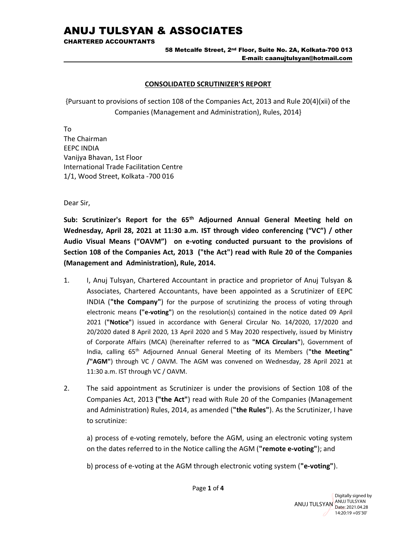CHARTERED ACCOUNTANTS

### 58 Metcalfe Street, 2nd Floor, Suite No. 2A, Kolkata-700 013 E-mail: caanujtulsyan@hotmail.com

## CONSOLIDATED SCRUTINIZER'S REPORT

{Pursuant to provisions of section 108 of the Companies Act, 2013 and Rule 20(4)(xii) of the Companies (Management and Administration), Rules, 2014}

To The Chairman EEPC INDIA Vanijya Bhavan, 1st Floor International Trade Facilitation Centre 1/1, Wood Street, Kolkata -700 016

Dear Sir,

Sub: Scrutinizer's Report for the 65<sup>th</sup> Adjourned Annual General Meeting held on Wednesday, April 28, 2021 at 11:30 a.m. IST through video conferencing ("VC") / other Audio Visual Means ("OAVM") on e-voting conducted pursuant to the provisions of Section 108 of the Companies Act, 2013 ("the Act") read with Rule 20 of the Companies (Management and Administration), Rule, 2014.

- 1. I, Anuj Tulsyan, Chartered Accountant in practice and proprietor of Anuj Tulsyan & Associates, Chartered Accountants, have been appointed as a Scrutinizer of EEPC INDIA ("the Company") for the purpose of scrutinizing the process of voting through electronic means ("e-voting") on the resolution(s) contained in the notice dated 09 April 2021 ("Notice") issued in accordance with General Circular No. 14/2020, 17/2020 and 20/2020 dated 8 April 2020, 13 April 2020 and 5 May 2020 respectively, issued by Ministry of Corporate Affairs (MCA) (hereinafter referred to as "MCA Circulars"), Government of India, calling 65<sup>th</sup> Adjourned Annual General Meeting of its Members ("the Meeting" /"AGM") through VC / OAVM. The AGM was convened on Wednesday, 28 April 2021 at 11:30 a.m. IST through VC / OAVM.
- 2. The said appointment as Scrutinizer is under the provisions of Section 108 of the Companies Act, 2013 ("the Act") read with Rule 20 of the Companies (Management and Administration) Rules, 2014, as amended ("the Rules"). As the Scrutinizer, I have to scrutinize:

a) process of e-voting remotely, before the AGM, using an electronic voting system on the dates referred to in the Notice calling the AGM ("remote e-voting"); and

b) process of e-voting at the AGM through electronic voting system ("e-voting").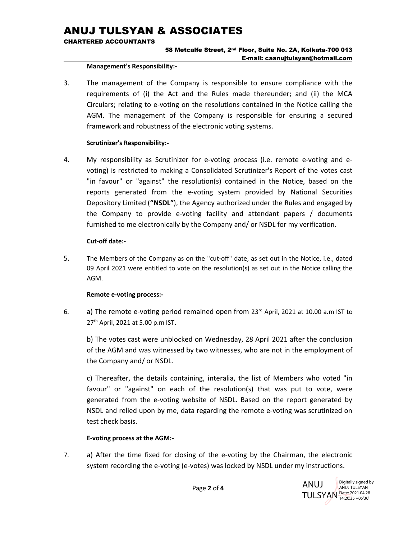CHARTERED ACCOUNTANTS

## 58 Metcalfe Street, 2nd Floor, Suite No. 2A, Kolkata-700 013 E-mail: caanujtulsyan@hotmail.com

#### Management's Responsibility:-

3. The management of the Company is responsible to ensure compliance with the requirements of (i) the Act and the Rules made thereunder; and (ii) the MCA Circulars; relating to e-voting on the resolutions contained in the Notice calling the AGM. The management of the Company is responsible for ensuring a secured framework and robustness of the electronic voting systems.

## Scrutinizer's Responsibility:-

4. My responsibility as Scrutinizer for e-voting process (i.e. remote e-voting and evoting) is restricted to making a Consolidated Scrutinizer's Report of the votes cast "in favour" or "against" the resolution(s) contained in the Notice, based on the reports generated from the e-voting system provided by National Securities Depository Limited ("NSDL"), the Agency authorized under the Rules and engaged by the Company to provide e-voting facility and attendant papers / documents furnished to me electronically by the Company and/ or NSDL for my verification.

## Cut-off date:-

5. The Members of the Company as on the "cut-off" date, as set out in the Notice, i.e., dated 09 April 2021 were entitled to vote on the resolution(s) as set out in the Notice calling the AGM.

## Remote e-voting process:-

6. a) The remote e-voting period remained open from  $23<sup>rd</sup>$  April, 2021 at 10.00 a.m IST to 27th April, 2021 at 5.00 p.m IST.

b) The votes cast were unblocked on Wednesday, 28 April 2021 after the conclusion of the AGM and was witnessed by two witnesses, who are not in the employment of the Company and/ or NSDL.

c) Thereafter, the details containing, interalia, the list of Members who voted "in favour" or "against" on each of the resolution(s) that was put to vote, were generated from the e-voting website of NSDL. Based on the report generated by NSDL and relied upon by me, data regarding the remote e-voting was scrutinized on test check basis.

## E-voting process at the AGM:-

7. a) After the time fixed for closing of the e-voting by the Chairman, the electronic system recording the e-voting (e-votes) was locked by NSDL under my instructions.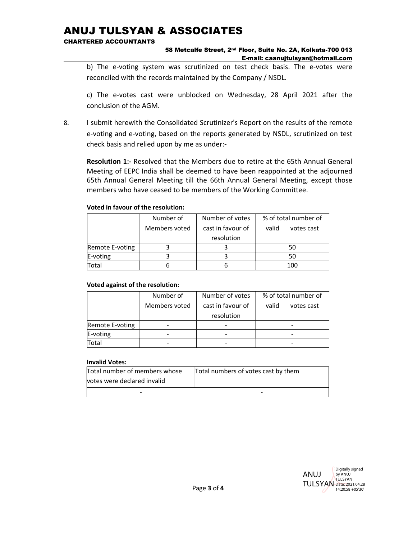CHARTERED ACCOUNTANTS

### 58 Metcalfe Street, 2nd Floor, Suite No. 2A, Kolkata-700 013 E-mail: caanujtulsyan@hotmail.com

b) The e-voting system was scrutinized on test check basis. The e-votes were reconciled with the records maintained by the Company / NSDL.

 c) The e-votes cast were unblocked on Wednesday, 28 April 2021 after the conclusion of the AGM.

8. I submit herewith the Consolidated Scrutinizer's Report on the results of the remote e-voting and e-voting, based on the reports generated by NSDL, scrutinized on test check basis and relied upon by me as under:-

Resolution 1:- Resolved that the Members due to retire at the 65th Annual General Meeting of EEPC India shall be deemed to have been reappointed at the adjourned 65th Annual General Meeting till the 66th Annual General Meeting, except those members who have ceased to be members of the Working Committee.

## Voted in favour of the resolution:

|                 | Number of     | Number of votes   | % of total number of |
|-----------------|---------------|-------------------|----------------------|
|                 | Members voted | cast in favour of | valid<br>votes cast  |
|                 |               | resolution        |                      |
| Remote E-voting |               |                   | 50                   |
| E-voting        |               |                   | 50                   |
| Total           |               |                   | 100                  |

## Voted against of the resolution:

|                 | Number of     | Number of votes   | % of total number of |
|-----------------|---------------|-------------------|----------------------|
|                 | Members voted | cast in favour of | valid<br>votes cast  |
|                 |               | resolution        |                      |
| Remote E-voting |               |                   | -                    |
| E-voting        |               |                   |                      |
| Total           |               |                   |                      |

## Invalid Votes:

| Total number of members whose | Total numbers of votes cast by them |
|-------------------------------|-------------------------------------|
| votes were declared invalid   |                                     |
| -                             |                                     |